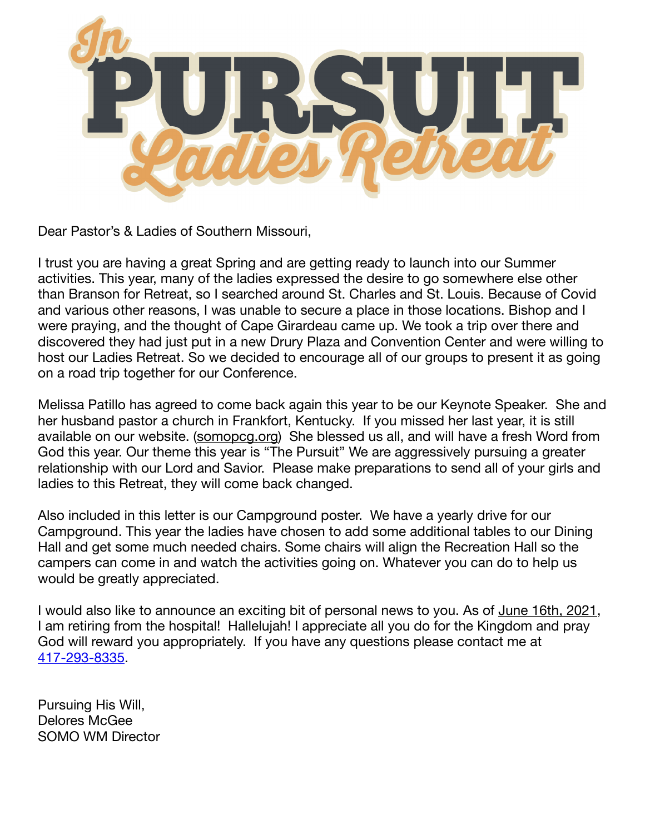

Dear Pastor's & Ladies of Southern Missouri,

I trust you are having a great Spring and are getting ready to launch into our Summer activities. This year, many of the ladies expressed the desire to go somewhere else other than Branson for Retreat, so I searched around St. Charles and St. Louis. Because of Covid and various other reasons, I was unable to secure a place in those locations. Bishop and I were praying, and the thought of Cape Girardeau came up. We took a trip over there and discovered they had just put in a new Drury Plaza and Convention Center and were willing to host our Ladies Retreat. So we decided to encourage all of our groups to present it as going on a road trip together for our Conference.

Melissa Patillo has agreed to come back again this year to be our Keynote Speaker. She and her husband pastor a church in Frankfort, Kentucky. If you missed her last year, it is still available on our website. ([somopcg.org](http://somopcg.org)) She blessed us all, and will have a fresh Word from God this year. Our theme this year is "The Pursuit" We are aggressively pursuing a greater relationship with our Lord and Savior. Please make preparations to send all of your girls and ladies to this Retreat, they will come back changed.

Also included in this letter is our Campground poster. We have a yearly drive for our Campground. This year the ladies have chosen to add some additional tables to our Dining Hall and get some much needed chairs. Some chairs will align the Recreation Hall so the campers can come in and watch the activities going on. Whatever you can do to help us would be greatly appreciated.

I would also like to announce an exciting bit of personal news to you. As of June 16th, 2021, I am retiring from the hospital! Hallelujah! I appreciate all you do for the Kingdom and pray God will reward you appropriately. If you have any questions please contact me at 417-293-8335.

Pursuing His Will, Delores McGee SOMO WM Director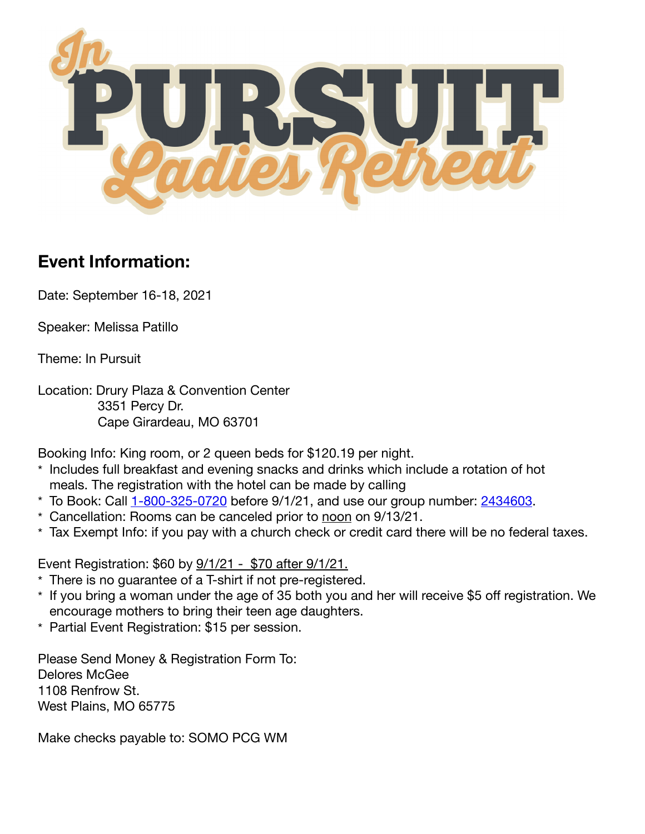

## **Event Information:**

Date: September 16-18, 2021

Speaker: Melissa Patillo

Theme: In Pursuit

Location: Drury Plaza & Convention Center 3351 Percy Dr. Cape Girardeau, MO 63701

Booking Info: King room, or 2 queen beds for \$120.19 per night.

- \* Includes full breakfast and evening snacks and drinks which include a rotation of hot meals. The registration with the hotel can be made by calling
- $*$  To Book: Call  $1 800 325 0720$  before  $9/1/21$ , and use our group number:  $2434603$ .
- \* Cancellation: Rooms can be canceled prior to noon on 9/13/21.
- \* Tax Exempt Info: if you pay with a church check or credit card there will be no federal taxes.

Event Registration: \$60 by 9/1/21 - \$70 after 9/1/21.

- \* There is no guarantee of a T-shirt if not pre-registered.
- \* If you bring a woman under the age of 35 both you and her will receive \$5 off registration. We encourage mothers to bring their teen age daughters.
- \* Partial Event Registration: \$15 per session.

Please Send Money & Registration Form To: Delores McGee 1108 Renfrow St. West Plains, MO 65775

Make checks payable to: SOMO PCG WM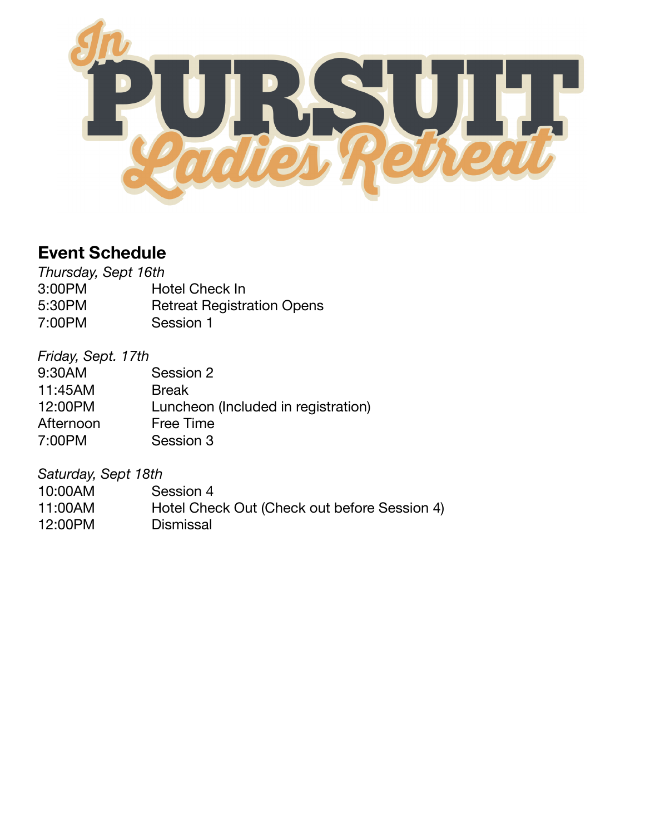

## **Event Schedule**

| Thursday, Sept 16th |                                   |
|---------------------|-----------------------------------|
| 3:00PM              | <b>Hotel Check In</b>             |
| 5:30PM              | <b>Retreat Registration Opens</b> |
| 7:00PM              | Session 1                         |

## *Friday, Sept. 17th*

| 9:30AM    | Session 2                           |
|-----------|-------------------------------------|
| 11:45AM   | <b>Break</b>                        |
| 12:00PM   | Luncheon (Included in registration) |
| Afternoon | Free Time                           |
| 7:00PM    | Session 3                           |
|           |                                     |

*Saturday, Sept 18th* 

| 10:00AM | Session 4                                    |
|---------|----------------------------------------------|
| 11:00AM | Hotel Check Out (Check out before Session 4) |
| 12:00PM | <b>Dismissal</b>                             |